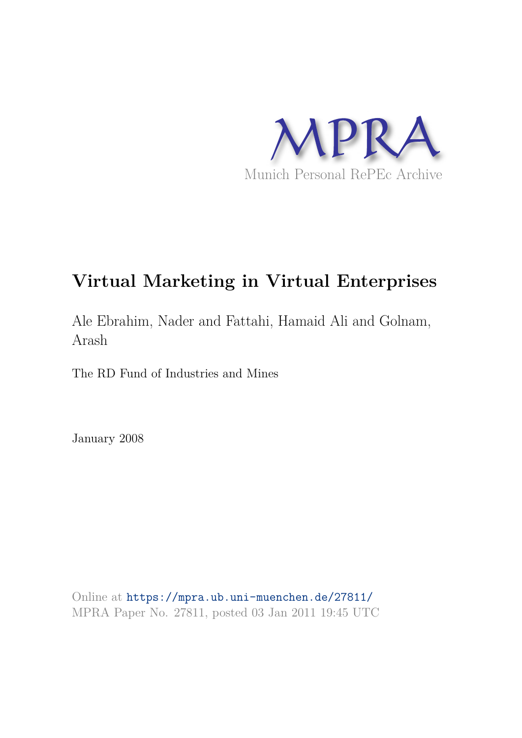

# **Virtual Marketing in Virtual Enterprises**

Ale Ebrahim, Nader and Fattahi, Hamaid Ali and Golnam, Arash

The RD Fund of Industries and Mines

January 2008

Online at https://mpra.ub.uni-muenchen.de/27811/ MPRA Paper No. 27811, posted 03 Jan 2011 19:45 UTC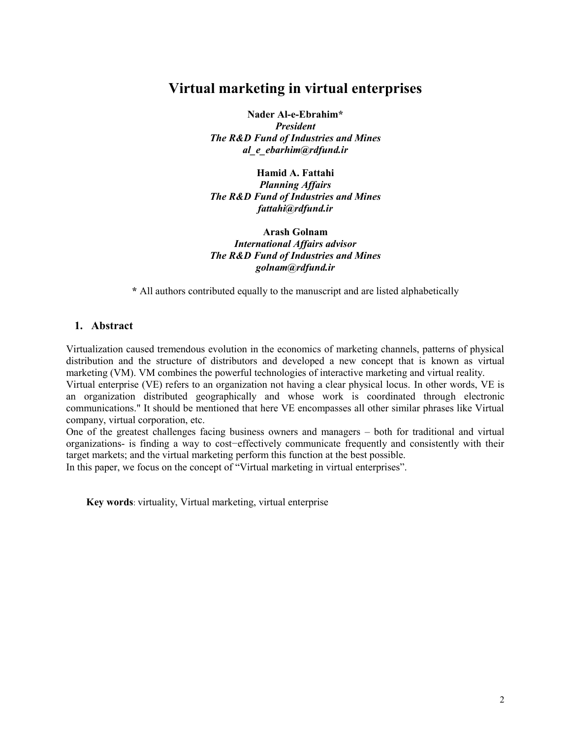## **Virtual marketing in virtual enterprises**

**Nader Al-e-Ebrahim\***  *President The R&D Fund of Industries and Mines [al\\_e\\_ebarhim@rdfund.ir](mailto:al_e_ebarhim@rdfund.ir)*

**Hamid A. Fattahi** *Planning Affairs The R&D Fund of Industries and Mines [fattahi@rdfund.ir](mailto:fattahi@rdfund.ir)*

**Arash Golnam**  *International Affairs advisor The R&D Fund of Industries and Mines [golnam@rdfund.ir](mailto:golnam@rdfund.ir)*

**\*** All authors contributed equally to the manuscript and are listed alphabetically

## **1. Abstract**

Virtualization caused tremendous evolution in the economics of marketing channels, patterns of physical distribution and the structure of distributors and developed a new concept that is known as virtual marketing (VM). VM combines the powerful technologies of interactive marketing and virtual reality.

Virtual enterprise (VE) refers to an organization not having a clear physical locus. In other words, VE is an organization distributed geographically and whose work is coordinated through electronic communications." It should be mentioned that here VE encompasses all other similar phrases like Virtual company, virtual corporation, etc.

One of the greatest challenges facing business owners and managers – both for traditional and virtual organizations- is finding a way to cost−effectively communicate frequently and consistently with their target markets; and the virtual marketing perform this function at the best possible.

In this paper, we focus on the concept of "Virtual marketing in virtual enterprises".

**Key words**: virtuality, Virtual marketing, virtual enterprise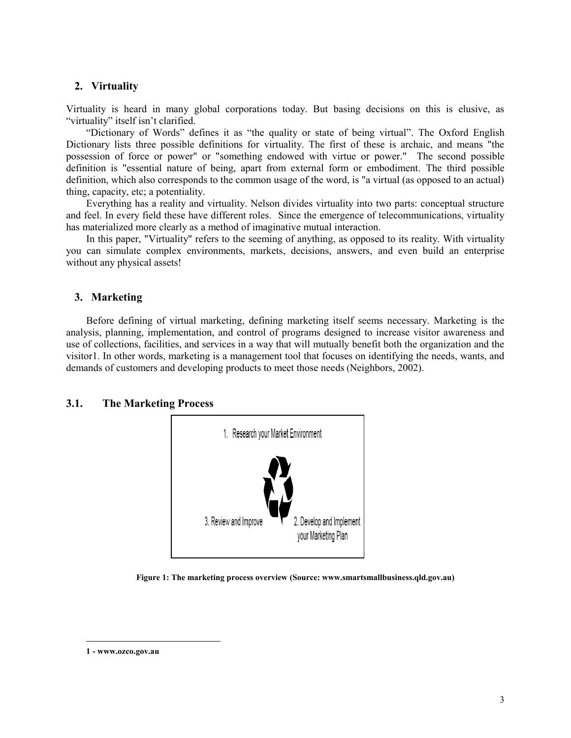## **2. Virtuality**

Virtuality is heard in many global corporations today. But basing decisions on this is elusive, as "virtuality" itself isn't clarified.

"Dictionary of Words" defines it as "the quality or state of being virtual". The Oxford English Dictionary lists three possible definitions for virtuality. The first of these is archaic, and means "the possession of force or power" or "something endowed with virtue or power." The second possible definition is "essential nature of being, apart from external form or embodiment. The third possible definition, which also corresponds to the common usage of the word, is "a virtual (as opposed to an actual) thing, capacity, etc; a potentiality.

Everything has a reality and virtuality. Nelson divides virtuality into two parts: conceptual structure and feel. In every field these have different roles. Since the emergence of telecommunications, virtuality has materialized more clearly as a method of imaginative mutual interaction.

In this paper, "Virtuality" refers to the seeming of anything, as opposed to its reality. With virtuality you can simulate complex environments, markets, decisions, answers, and even build an enterprise without any physical assets!

## **3. Marketing**

Before defining of virtual marketing, defining marketing itself seems necessary. Marketing is the analysis, planning, implementation, and control of programs designed to increase visitor awareness and use of collections, facilities, and services in a way that will mutually benefit both the organization and the visitor1. In other words, marketing is a management tool that focuses on identifying the needs, wants, and demands of customers and developing products to meet those needs (Neighbors, 2002).

## **3.1. The Marketing Process**



**Figure 1: The marketing process overview (Source: www.smartsmallbusiness.qld.gov.au)**

<u>.</u>

**<sup>1 -</sup> www.ozco.gov.au**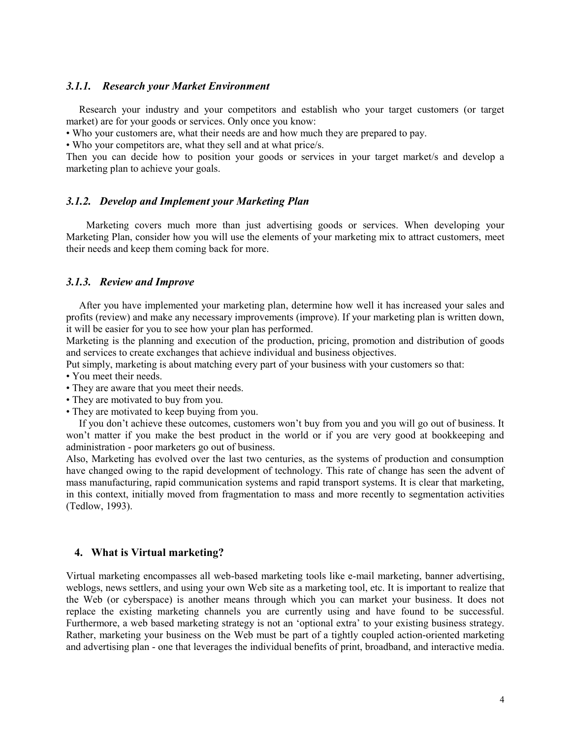#### *3.1.1. Research your Market Environment*

 Research your industry and your competitors and establish who your target customers (or target market) are for your goods or services. Only once you know:

• Who your customers are, what their needs are and how much they are prepared to pay.

• Who your competitors are, what they sell and at what price/s.

Then you can decide how to position your goods or services in your target market/s and develop a marketing plan to achieve your goals.

#### *3.1.2. Develop and Implement your Marketing Plan*

Marketing covers much more than just advertising goods or services. When developing your Marketing Plan, consider how you will use the elements of your marketing mix to attract customers, meet their needs and keep them coming back for more.

## *3.1.3. Review and Improve*

 After you have implemented your marketing plan, determine how well it has increased your sales and profits (review) and make any necessary improvements (improve). If your marketing plan is written down, it will be easier for you to see how your plan has performed.

Marketing is the planning and execution of the production, pricing, promotion and distribution of goods and services to create exchanges that achieve individual and business objectives.

Put simply, marketing is about matching every part of your business with your customers so that:

- You meet their needs.
- They are aware that you meet their needs.
- They are motivated to buy from you.
- They are motivated to keep buying from you.

 If you don't achieve these outcomes, customers won't buy from you and you will go out of business. It won't matter if you make the best product in the world or if you are very good at bookkeeping and administration - poor marketers go out of business.

Also, Marketing has evolved over the last two centuries, as the systems of production and consumption have changed owing to the rapid development of technology. This rate of change has seen the advent of mass manufacturing, rapid communication systems and rapid transport systems. It is clear that marketing, in this context, initially moved from fragmentation to mass and more recently to segmentation activities (Tedlow, 1993).

## **4. What is Virtual marketing?**

Virtual marketing encompasses all web-based marketing tools like e-mail marketing, banner advertising, weblogs, news settlers, and using your own Web site as a marketing tool, etc. It is important to realize that the Web (or cyberspace) is another means through which you can market your business. It does not replace the existing marketing channels you are currently using and have found to be successful. Furthermore, a web based marketing strategy is not an 'optional extra' to your existing business strategy. Rather, marketing your business on the Web must be part of a tightly coupled action-oriented marketing and advertising plan - one that leverages the individual benefits of print, broadband, and interactive media.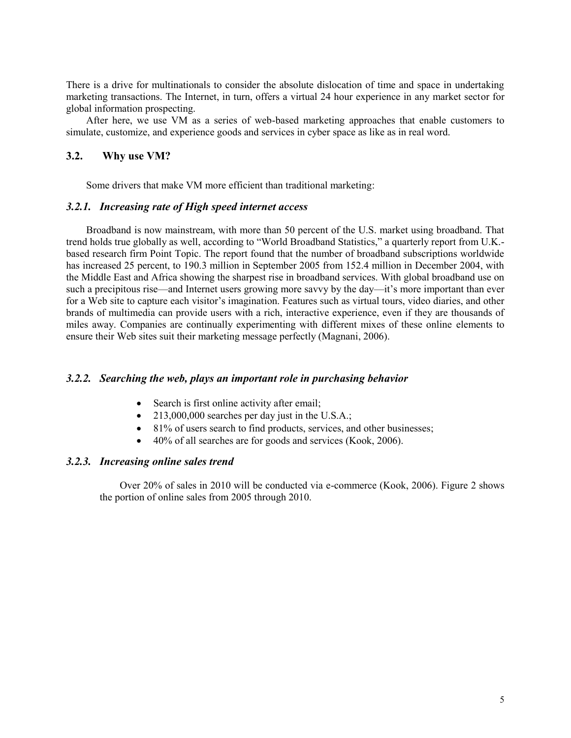There is a drive for multinationals to consider the absolute dislocation of time and space in undertaking marketing transactions. The Internet, in turn, offers a virtual 24 hour experience in any market sector for global information prospecting.

After here, we use VM as a series of web-based marketing approaches that enable customers to simulate, customize, and experience goods and services in cyber space as like as in real word.

## **3.2. Why use VM?**

Some drivers that make VM more efficient than traditional marketing:

## *3.2.1. Increasing rate of High speed internet access*

Broadband is now mainstream, with more than 50 percent of the U.S. market using broadband. That trend holds true globally as well, according to "World Broadband Statistics," a quarterly report from U.K.based research firm Point Topic. The report found that the number of broadband subscriptions worldwide has increased 25 percent, to 190.3 million in September 2005 from 152.4 million in December 2004, with the Middle East and Africa showing the sharpest rise in broadband services. With global broadband use on such a precipitous rise—and Internet users growing more savvy by the day—it's more important than ever for a Web site to capture each visitor's imagination. Features such as virtual tours, video diaries, and other brands of multimedia can provide users with a rich, interactive experience, even if they are thousands of miles away. Companies are continually experimenting with different mixes of these online elements to ensure their Web sites suit their marketing message perfectly (Magnani, 2006).

## *3.2.2. Searching the web, plays an important role in purchasing behavior*

- Search is first online activity after email;
- $\bullet$  213,000,000 searches per day just in the U.S.A.;
- 81% of users search to find products, services, and other businesses;
- 40% of all searches are for goods and services (Kook, 2006).

## *3.2.3. Increasing online sales trend*

Over 20% of sales in 2010 will be conducted via e-commerce (Kook, 2006). Figure 2 shows the portion of online sales from 2005 through 2010.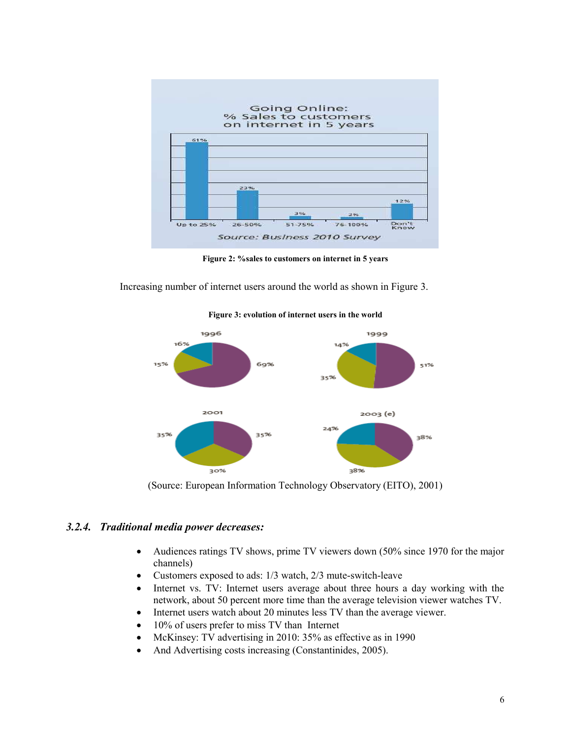

**Figure 2: %sales to customers on internet in 5 years** 

Increasing number of internet users around the world as shown in Figure 3.



**Figure 3: evolution of internet users in the world** 

(Source: European Information Technology Observatory (EITO), 2001)

## *3.2.4. Traditional media power decreases:*

- Audiences ratings TV shows, prime TV viewers down (50% since 1970 for the major channels)
- Customers exposed to ads: 1/3 watch, 2/3 mute-switch-leave
- Internet vs. TV: Internet users average about three hours a day working with the network, about 50 percent more time than the average television viewer watches TV.
- Internet users watch about 20 minutes less TV than the average viewer.
- 10% of users prefer to miss TV than Internet
- McKinsey: TV advertising in 2010: 35% as effective as in 1990
- And Advertising costs increasing (Constantinides, 2005).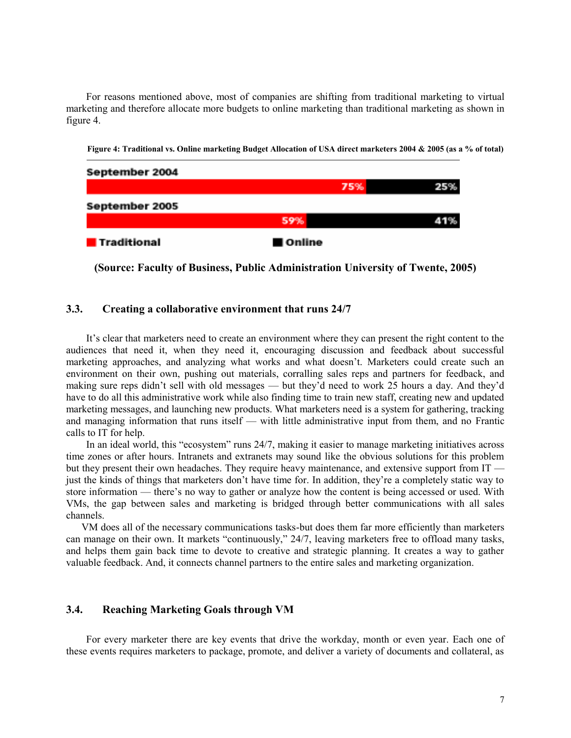For reasons mentioned above, most of companies are shifting from traditional marketing to virtual marketing and therefore allocate more budgets to online marketing than traditional marketing as shown in figure 4.

**Figure 4: Traditional vs. Online marketing Budget Allocation of USA direct marketers 2004 & 2005 (as a % of total)** 



**(Source: Faculty of Business, Public Administration University of Twente, 2005)** 

## **3.3. Creating a collaborative environment that runs 24/7**

It's clear that marketers need to create an environment where they can present the right content to the audiences that need it, when they need it, encouraging discussion and feedback about successful marketing approaches, and analyzing what works and what doesn't. Marketers could create such an environment on their own, pushing out materials, corralling sales reps and partners for feedback, and making sure reps didn't sell with old messages — but they'd need to work 25 hours a day. And they'd have to do all this administrative work while also finding time to train new staff, creating new and updated marketing messages, and launching new products. What marketers need is a system for gathering, tracking and managing information that runs itself — with little administrative input from them, and no Frantic calls to IT for help.

In an ideal world, this "ecosystem" runs 24/7, making it easier to manage marketing initiatives across time zones or after hours. Intranets and extranets may sound like the obvious solutions for this problem but they present their own headaches. They require heavy maintenance, and extensive support from IT just the kinds of things that marketers don't have time for. In addition, they're a completely static way to store information — there's no way to gather or analyze how the content is being accessed or used. With VMs, the gap between sales and marketing is bridged through better communications with all sales channels.

 VM does all of the necessary communications tasks-but does them far more efficiently than marketers can manage on their own. It markets "continuously," 24/7, leaving marketers free to offload many tasks, and helps them gain back time to devote to creative and strategic planning. It creates a way to gather valuable feedback. And, it connects channel partners to the entire sales and marketing organization.

## **3.4. Reaching Marketing Goals through VM**

For every marketer there are key events that drive the workday, month or even year. Each one of these events requires marketers to package, promote, and deliver a variety of documents and collateral, as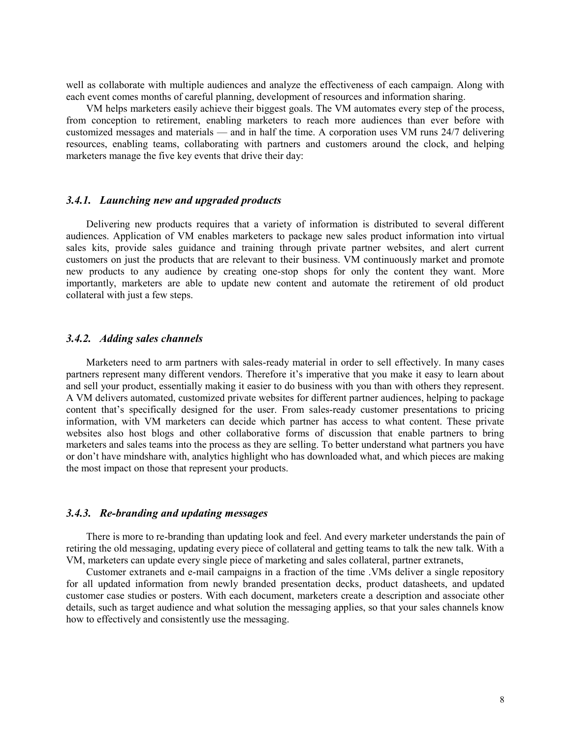well as collaborate with multiple audiences and analyze the effectiveness of each campaign. Along with each event comes months of careful planning, development of resources and information sharing.

VM helps marketers easily achieve their biggest goals. The VM automates every step of the process, from conception to retirement, enabling marketers to reach more audiences than ever before with customized messages and materials — and in half the time. A corporation uses VM runs 24/7 delivering resources, enabling teams, collaborating with partners and customers around the clock, and helping marketers manage the five key events that drive their day:

#### *3.4.1. Launching new and upgraded products*

Delivering new products requires that a variety of information is distributed to several different audiences. Application of VM enables marketers to package new sales product information into virtual sales kits, provide sales guidance and training through private partner websites, and alert current customers on just the products that are relevant to their business. VM continuously market and promote new products to any audience by creating one-stop shops for only the content they want. More importantly, marketers are able to update new content and automate the retirement of old product collateral with just a few steps.

#### *3.4.2. Adding sales channels*

Marketers need to arm partners with sales-ready material in order to sell effectively. In many cases partners represent many different vendors. Therefore it's imperative that you make it easy to learn about and sell your product, essentially making it easier to do business with you than with others they represent. A VM delivers automated, customized private websites for different partner audiences, helping to package content that's specifically designed for the user. From sales-ready customer presentations to pricing information, with VM marketers can decide which partner has access to what content. These private websites also host blogs and other collaborative forms of discussion that enable partners to bring marketers and sales teams into the process as they are selling. To better understand what partners you have or don't have mindshare with, analytics highlight who has downloaded what, and which pieces are making the most impact on those that represent your products.

## *3.4.3. Re-branding and updating messages*

There is more to re-branding than updating look and feel. And every marketer understands the pain of retiring the old messaging, updating every piece of collateral and getting teams to talk the new talk. With a VM, marketers can update every single piece of marketing and sales collateral, partner extranets,

Customer extranets and e-mail campaigns in a fraction of the time .VMs deliver a single repository for all updated information from newly branded presentation decks, product datasheets, and updated customer case studies or posters. With each document, marketers create a description and associate other details, such as target audience and what solution the messaging applies, so that your sales channels know how to effectively and consistently use the messaging.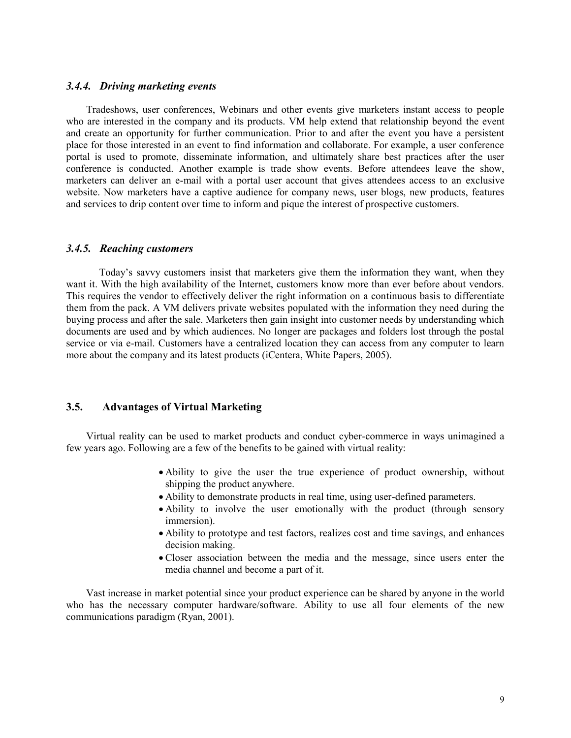#### *3.4.4. Driving marketing events*

Tradeshows, user conferences, Webinars and other events give marketers instant access to people who are interested in the company and its products. VM help extend that relationship beyond the event and create an opportunity for further communication. Prior to and after the event you have a persistent place for those interested in an event to find information and collaborate. For example, a user conference portal is used to promote, disseminate information, and ultimately share best practices after the user conference is conducted. Another example is trade show events. Before attendees leave the show, marketers can deliver an e-mail with a portal user account that gives attendees access to an exclusive website. Now marketers have a captive audience for company news, user blogs, new products, features and services to drip content over time to inform and pique the interest of prospective customers.

#### *3.4.5. Reaching customers*

 Today's savvy customers insist that marketers give them the information they want, when they want it. With the high availability of the Internet, customers know more than ever before about vendors. This requires the vendor to effectively deliver the right information on a continuous basis to differentiate them from the pack. A VM delivers private websites populated with the information they need during the buying process and after the sale. Marketers then gain insight into customer needs by understanding which documents are used and by which audiences. No longer are packages and folders lost through the postal service or via e-mail. Customers have a centralized location they can access from any computer to learn more about the company and its latest products (iCentera, White Papers, 2005).

## **3.5. Advantages of Virtual Marketing**

Virtual reality can be used to market products and conduct cyber-commerce in ways unimagined a few years ago. Following are a few of the benefits to be gained with virtual reality:

- Ability to give the user the true experience of product ownership, without shipping the product anywhere.
- Ability to demonstrate products in real time, using user-defined parameters.
- Ability to involve the user emotionally with the product (through sensory immersion).
- Ability to prototype and test factors, realizes cost and time savings, and enhances decision making.
- Closer association between the media and the message, since users enter the media channel and become a part of it.

Vast increase in market potential since your product experience can be shared by anyone in the world who has the necessary computer hardware/software. Ability to use all four elements of the new communications paradigm (Ryan, 2001).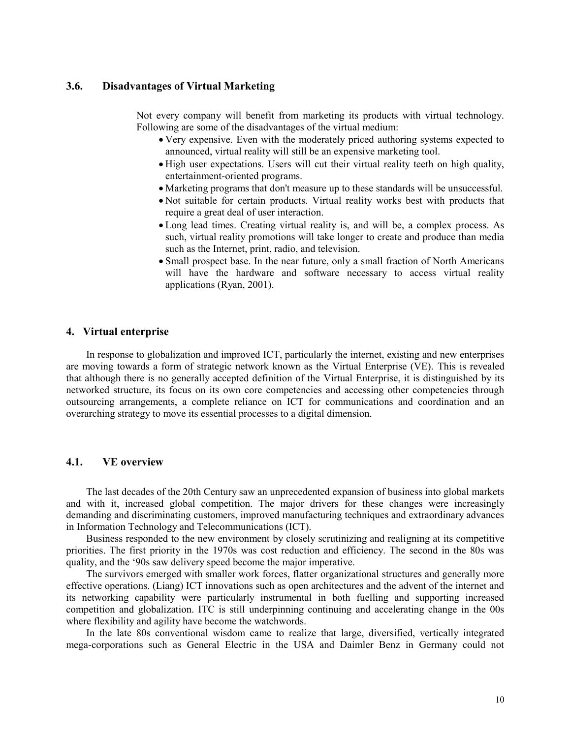## **3.6. Disadvantages of Virtual Marketing**

Not every company will benefit from marketing its products with virtual technology. Following are some of the disadvantages of the virtual medium:

- Very expensive. Even with the moderately priced authoring systems expected to announced, virtual reality will still be an expensive marketing tool.
- High user expectations. Users will cut their virtual reality teeth on high quality, entertainment-oriented programs.
- Marketing programs that don't measure up to these standards will be unsuccessful.
- Not suitable for certain products. Virtual reality works best with products that require a great deal of user interaction.
- Long lead times. Creating virtual reality is, and will be, a complex process. As such, virtual reality promotions will take longer to create and produce than media such as the Internet, print, radio, and television.
- Small prospect base. In the near future, only a small fraction of North Americans will have the hardware and software necessary to access virtual reality applications (Ryan, 2001).

#### **4. Virtual enterprise**

In response to globalization and improved ICT, particularly the internet, existing and new enterprises are moving towards a form of strategic network known as the Virtual Enterprise (VE). This is revealed that although there is no generally accepted definition of the Virtual Enterprise, it is distinguished by its networked structure, its focus on its own core competencies and accessing other competencies through outsourcing arrangements, a complete reliance on ICT for communications and coordination and an overarching strategy to move its essential processes to a digital dimension.

## **4.1. VE overview**

The last decades of the 20th Century saw an unprecedented expansion of business into global markets and with it, increased global competition. The major drivers for these changes were increasingly demanding and discriminating customers, improved manufacturing techniques and extraordinary advances in Information Technology and Telecommunications (ICT).

Business responded to the new environment by closely scrutinizing and realigning at its competitive priorities. The first priority in the 1970s was cost reduction and efficiency. The second in the 80s was quality, and the '90s saw delivery speed become the major imperative.

The survivors emerged with smaller work forces, flatter organizational structures and generally more effective operations. (Liang) ICT innovations such as open architectures and the advent of the internet and its networking capability were particularly instrumental in both fuelling and supporting increased competition and globalization. ITC is still underpinning continuing and accelerating change in the 00s where flexibility and agility have become the watchwords.

In the late 80s conventional wisdom came to realize that large, diversified, vertically integrated mega-corporations such as General Electric in the USA and Daimler Benz in Germany could not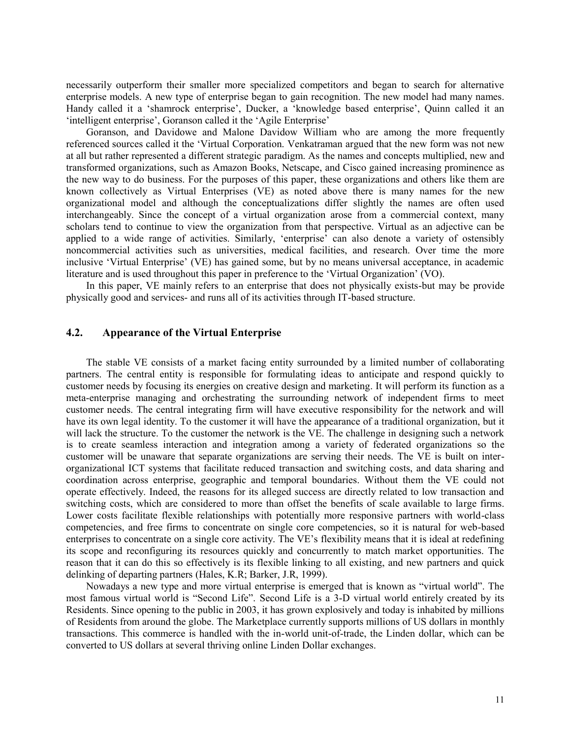necessarily outperform their smaller more specialized competitors and began to search for alternative enterprise models. A new type of enterprise began to gain recognition. The new model had many names. Handy called it a 'shamrock enterprise', Ducker, a 'knowledge based enterprise', Quinn called it an 'intelligent enterprise', Goranson called it the 'Agile Enterprise'

Goranson, and Davidowe and Malone Davidow William who are among the more frequently referenced sources called it the 'Virtual Corporation. Venkatraman argued that the new form was not new at all but rather represented a different strategic paradigm. As the names and concepts multiplied, new and transformed organizations, such as Amazon Books, Netscape, and Cisco gained increasing prominence as the new way to do business. For the purposes of this paper, these organizations and others like them are known collectively as Virtual Enterprises (VE) as noted above there is many names for the new organizational model and although the conceptualizations differ slightly the names are often used interchangeably. Since the concept of a virtual organization arose from a commercial context, many scholars tend to continue to view the organization from that perspective. Virtual as an adjective can be applied to a wide range of activities. Similarly, ‗enterprise' can also denote a variety of ostensibly noncommercial activities such as universities, medical facilities, and research. Over time the more inclusive ‗Virtual Enterprise' (VE) has gained some, but by no means universal acceptance, in academic literature and is used throughout this paper in preference to the 'Virtual Organization' (VO).

In this paper, VE mainly refers to an enterprise that does not physically exists-but may be provide physically good and services- and runs all of its activities through IT-based structure.

## **4.2. Appearance of the Virtual Enterprise**

The stable VE consists of a market facing entity surrounded by a limited number of collaborating partners. The central entity is responsible for formulating ideas to anticipate and respond quickly to customer needs by focusing its energies on creative design and marketing. It will perform its function as a meta-enterprise managing and orchestrating the surrounding network of independent firms to meet customer needs. The central integrating firm will have executive responsibility for the network and will have its own legal identity. To the customer it will have the appearance of a traditional organization, but it will lack the structure. To the customer the network is the VE. The challenge in designing such a network is to create seamless interaction and integration among a variety of federated organizations so the customer will be unaware that separate organizations are serving their needs. The VE is built on interorganizational ICT systems that facilitate reduced transaction and switching costs, and data sharing and coordination across enterprise, geographic and temporal boundaries. Without them the VE could not operate effectively. Indeed, the reasons for its alleged success are directly related to low transaction and switching costs, which are considered to more than offset the benefits of scale available to large firms. Lower costs facilitate flexible relationships with potentially more responsive partners with world-class competencies, and free firms to concentrate on single core competencies, so it is natural for web-based enterprises to concentrate on a single core activity. The VE's flexibility means that it is ideal at redefining its scope and reconfiguring its resources quickly and concurrently to match market opportunities. The reason that it can do this so effectively is its flexible linking to all existing, and new partners and quick delinking of departing partners (Hales, K.R; Barker, J.R, 1999).

Nowadays a new type and more virtual enterprise is emerged that is known as "virtual world". The most famous virtual world is "Second Life". Second Life is a 3-D virtual world entirely created by its Residents. Since opening to the public in 2003, it has grown explosively and today is inhabited by millions of Residents from around the globe. [The Marketplace](http://secondlife.com/whatis/marketplace.php) currently supports millions of US dollars in monthly transactions. This commerce is handled with the in-world unit-of-trade, the Linden dollar, which can be converted to US dollars at several thriving online Linden Dollar exchanges.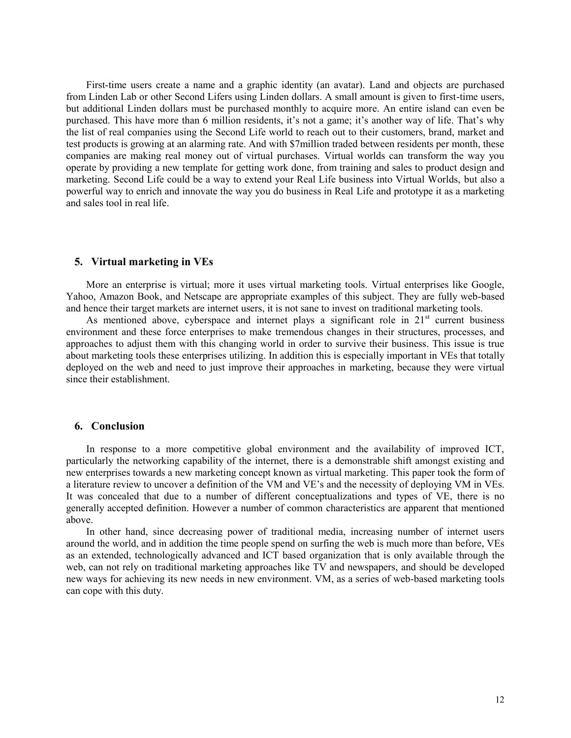First-time users create a name and a graphic identity (an avatar). Land and objects are purchased from Linden Lab or other Second Lifers using Linden dollars. A small amount is given to first-time users, but additional Linden dollars must be purchased monthly to acquire more. An entire island can even be purchased. This have more than 6 million residents, it's not a game; it's another way of life. That's why the list of real companies using the Second Life world to reach out to their customers, brand, market and test products is growing at an alarming rate. And with \$7million traded between residents per month, these companies are making real money out of virtual purchases. Virtual worlds can transform the way you operate by providing a new template for getting work done, from training and sales to product design and marketing. Second Life could be a way to extend your Real Life business into Virtual Worlds, but also a powerful way to enrich and innovate the way you do business in Real Life and prototype it as a marketing and sales tool in real life.

#### **5. Virtual marketing in VEs**

More an enterprise is virtual; more it uses virtual marketing tools. Virtual enterprises like Google, Yahoo, Amazon Book, and Netscape are appropriate examples of this subject. They are fully web-based and hence their target markets are internet users, it is not sane to invest on traditional marketing tools.

As mentioned above, cyberspace and internet plays a significant role in  $21<sup>st</sup>$  current business environment and these force enterprises to make tremendous changes in their structures, processes, and approaches to adjust them with this changing world in order to survive their business. This issue is true about marketing tools these enterprises utilizing. In addition this is especially important in VEs that totally deployed on the web and need to just improve their approaches in marketing, because they were virtual since their establishment.

#### **6. Conclusion**

In response to a more competitive global environment and the availability of improved ICT, particularly the networking capability of the internet, there is a demonstrable shift amongst existing and new enterprises towards a new marketing concept known as virtual marketing. This paper took the form of a literature review to uncover a definition of the VM and VE's and the necessity of deploying VM in VEs. It was concealed that due to a number of different conceptualizations and types of VE, there is no generally accepted definition. However a number of common characteristics are apparent that mentioned above.

In other hand, since decreasing power of traditional media, increasing number of internet users around the world, and in addition the time people spend on surfing the web is much more than before, VEs as an extended, technologically advanced and ICT based organization that is only available through the web, can not rely on traditional marketing approaches like TV and newspapers, and should be developed new ways for achieving its new needs in new environment. VM, as a series of web-based marketing tools can cope with this duty.